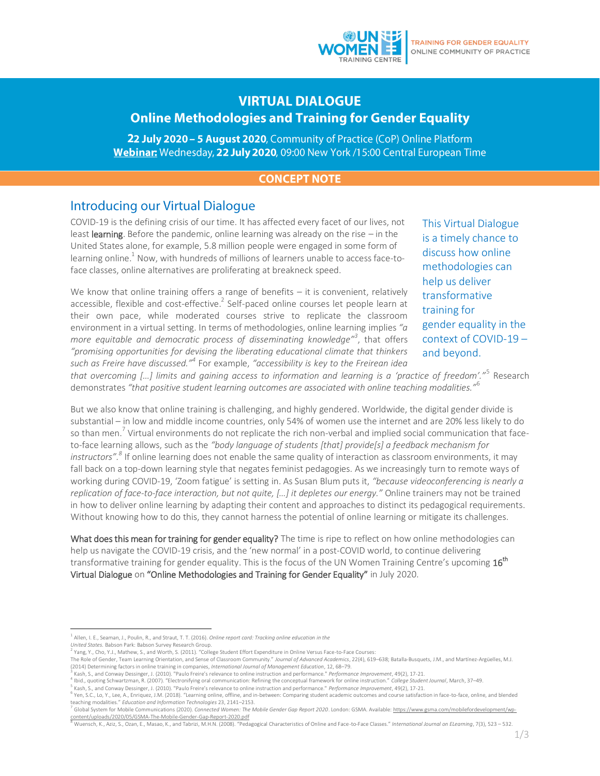# **VIRTUAL DIALOGUE Online Methodologies and Training for Gender Equality**

22 July 2020 - 5 August 2020, Community of Practice (CoP) Online Platform Webinar: Wednesday, 22 July 2020, 09:00 New York /15:00 Central European Time

### **CONCEPT NOTE**

### Introducing our Virtual Dialogue

COVID-19 is the defining crisis of our time. It has affected every facet of our lives, not least **learning**. Before the pandemic, online learning was already on the rise – in the United States alone, for example, 5.8 million people were engaged in some form of learning online. $^{\rm 1}$  Now, with hundreds of millions of learners unable to access face-toface classes, online alternatives are proliferating at breakneck speed.

We know that online training offers a range of benefits  $-$  it is convenient, relatively accessible, flexible and cost-effective.<sup>2</sup> Self-paced online courses let people learn at their own pace, while moderated courses strive to replicate the classroom environment in a virtual setting. In terms of methodologies, online learning implies *"a more equitable and democratic process of disseminating knowledge"<sup>3</sup>* , that offers *"promising opportunities for devising the liberating educational climate that thinkers such as Freire have discussed."<sup>4</sup>* For example, *"accessibility is key to the Freirean idea*  This Virtual Dialogue is a timely chance to discuss how online methodologies can help us deliver transformative training for gender equality in the context of COVID-19 – and beyond.

*that overcoming […] limits and gaining access to information and learning is a 'practice of freedom'."*<sup>5</sup> Research demonstrates *"that positive student learning outcomes are associated with online teaching modalities."*<sup>6</sup>

But we also know that online training is challenging, and highly gendered. Worldwide, the digital gender divide is substantial – in low and middle income countries, only 54% of women use the internet and are 20% less likely to do so than men.<sup>7</sup> Virtual environments do not replicate the rich non-verbal and implied social communication that faceto-face learning allows, such as the *"body language of students [that] provide[s] a feedback mechanism for instructors". 8* If online learning does not enable the same quality of interaction as classroom environments, it may fall back on a top-down learning style that negates feminist pedagogies. As we increasingly turn to remote ways of working during COVID-19, 'Zoom fatigue' is setting in. As Susan Blum puts it, *"because videoconferencing is nearly a replication of face-to-face interaction, but not quite, […] it depletes our energy."* Online trainers may not be trained in how to deliver online learning by adapting their content and approaches to distinct its pedagogical requirements. Without knowing how to do this, they cannot harness the potential of online learning or mitigate its challenges.

What does this mean for training for gender equality? The time is ripe to reflect on how online methodologies can help us navigate the COVID-19 crisis, and the 'new normal' in a post-COVID world, to continue delivering transformative training for gender equality. This is the focus of the UN Women Training Centre's upcoming  $16^{\text{th}}$ Virtual Dialogue on "Online Methodologies and Training for Gender Equality" in July 2020.

5 Kash, S., and Conway Dessinger, J. (2010). "Paulo Freire's relevance to online instruction and performance." *Performance Improvement*, 49(2), 17-21.

 $\overline{\phantom{a}}$ 1 Allen, I. E., Seaman, J., Poulin, R., and Straut, T. T. (2016). *Online report card: Tracking online education in the*

*United States.* Babson Park: Babson Survey Research Group.

Yang, Y., Cho, Y.J., Mathew, S., and Worth, S. (2011). "College Student Effort Expenditure in Online Versus Face-to-Face Courses:

The Role of Gender, Team Learning Orientation, and Sense of Classroom Community." *Journal of Advanced Academics*, 22(4), 619–638; Batalla-Busquets, J.M., and Martínez-Argüelles, M.J. (2014) Determining factors in online training in companies, *International Journal of Management Education*, 12, 68–79.

<sup>&</sup>lt;sup>3</sup> Kash, S., and Conway Dessinger, J. (2010). "Paulo Freire's relevance to online instruction and performance." *Performance Improvement*, 49(2), 17-21.<br><sup>4</sup> Ibid., quoting Schwartzman, R. (2007). "Electronifying oral comm

<sup>&</sup>lt;sup>6</sup> Yen, S.C., Lo, Y., Lee, A., Enriquez, J.M. (2018). "Learning online, offline, and in-between: Comparing student academic outcomes and course satisfaction in face-to-face, online, and blended teaching modalities." *Education and Information Technologies* 23, 2141–2153.

<sup>&</sup>lt;sup>7</sup> Global System for Mobile Communications (2020). *Connected Women: The Mobile Gender Gap Report 2020*. London: GSMA. Available: <u>https://www.gsma.com/mobilefordevelopment/wp-</u>

[content/uploads/2020/05/GSMA-The-Mobile-Gender-Gap-Report-2020.pdf](https://www.gsma.com/mobilefordevelopment/wp-content/uploads/2020/05/GSMA-The-Mobile-Gender-Gap-Report-2020.pdf)<br><sup>8</sup> Wuensch, K., Aziz, S., Ozan, E., Masao, K., and Tabrizi, M.H.N. (2008). "Pedagogical Characteristics of Online and Face-to-Face Classes." *Internationa*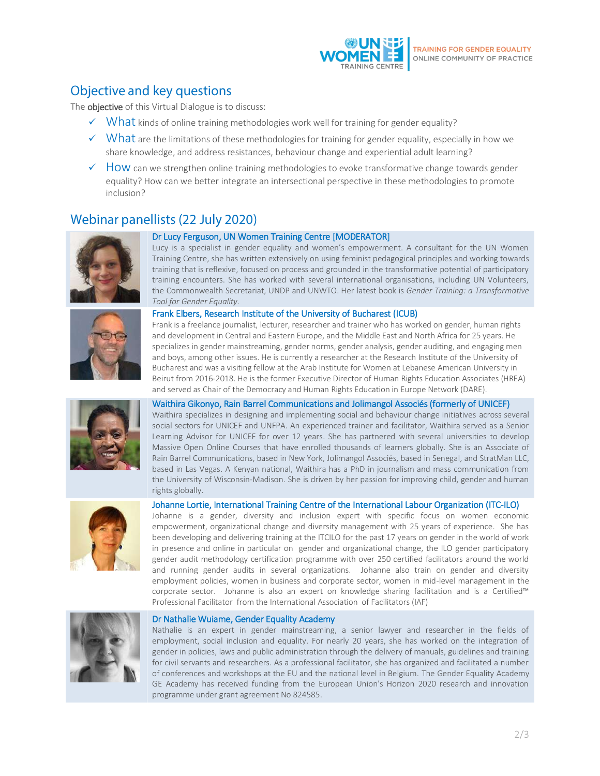

# Objective and key questions

The **objective** of this Virtual Dialogue is to discuss:

- $\checkmark$  What kinds of online training methodologies work well for training for gender equality?
- $\checkmark$  What are the limitations of these methodologies for training for gender equality, especially in how we share knowledge, and address resistances, behaviour change and experiential adult learning?
- $\checkmark$  How can we strengthen online training methodologies to evoke transformative change towards gender equality? How can we better integrate an intersectional perspective in these methodologies to promote inclusion?

## Webinar panellists (22 July 2020)





### Dr Lucy Ferguson, UN Women Training Centre [MODERATOR]

Lucy is a specialist in gender equality and women's empowerment. A consultant for the UN Women Training Centre, she has written extensively on using feminist pedagogical principles and working towards training that is reflexive, focused on process and grounded in the transformative potential of participatory training encounters. She has worked with several international organisations, including UN Volunteers, the Commonwealth Secretariat, UNDP and UNWTO. Her latest book is *Gender Training: a Transformative Tool for Gender Equality.*

#### Frank Elbers, Research Institute of the University of Bucharest (ICUB)

Frank is a freelance journalist, lecturer, researcher and trainer who has worked on gender, human rights and development in Central and Eastern Europe, and the Middle East and North Africa for 25 years. He specializes in gender mainstreaming, gender norms, gender analysis, gender auditing, and engaging men and boys, among other issues. He is currently a researcher at the Research Institute of the University of Bucharest and was a visiting fellow at the Arab Institute for Women at Lebanese American University in Beirut from 2016-2018. He is the former Executive Director of Human Rights Education Associates (HREA) and served as Chair of the Democracy and Human Rights Education in Europe Network (DARE).

#### Waithira Gikonyo, Rain Barrel Communications and Jolimangol Associés (formerly of UNICEF)

Waithira specializes in designing and implementing social and behaviour change initiatives across several social sectors for UNICEF and UNFPA. An experienced trainer and facilitator, Waithira served as a Senior Learning Advisor for UNICEF for over 12 years. She has partnered with several universities to develop Massive Open Online Courses that have enrolled thousands of learners globally. She is an Associate of Rain Barrel Communications, based in New York, Jolimangol Associés, based in Senegal, and StratMan LLC, based in Las Vegas. A Kenyan national, Waithira has a PhD in journalism and mass communication from the University of Wisconsin-Madison. She is driven by her passion for improving child, gender and human rights globally.



#### Johanne Lortie, International Training Centre of the International Labour Organization (ITC-ILO)

Johanne is a gender, diversity and inclusion expert with specific focus on women economic empowerment, organizational change and diversity management with 25 years of experience. She has been developing and delivering training at the ITCILO for the past 17 years on gender in the world of work in presence and online in particular on gender and organizational change, the ILO gender participatory gender audit methodology certification programme with over 250 certified facilitators around the world and running gender audits in several organizations. Johanne also train on gender and diversity employment policies, women in business and corporate sector, women in mid-level management in the corporate sector. Johanne is also an expert on knowledge sharing facilitation and is a Certified™ Professional Facilitator from the International Association of Facilitators (IAF)



#### Dr Nathalie Wuiame, Gender Equality Academy

Nathalie is an expert in gender mainstreaming, a senior lawyer and researcher in the fields of employment, social inclusion and equality. For nearly 20 years, she has worked on the integration of gender in policies, laws and public administration through the delivery of manuals, guidelines and training for civil servants and researchers. As a professional facilitator, she has organized and facilitated a number of conferences and workshops at the EU and the national level in Belgium. The Gender Equality Academy GE Academy has received funding from the European Union's Horizon 2020 research and innovation programme under grant agreement No 824585.